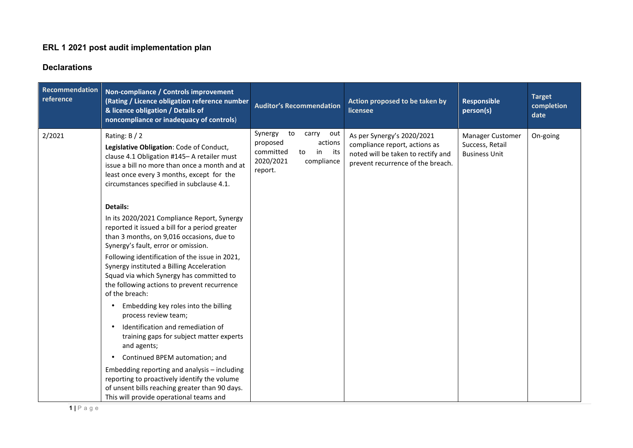## **ERL 1 2021 post audit implementation plan**

## **Declarations**

| Recommendation<br>reference | Non-compliance / Controls improvement<br>(Rating / Licence obligation reference number<br>& licence obligation / Details of<br>noncompliance or inadequacy of controls)                                                                               | <b>Auditor's Recommendation</b>                                                                                            | Action proposed to be taken by<br>licensee                                                                                             | <b>Responsible</b><br>person(s)                             | <b>Target</b><br>completion<br>date |
|-----------------------------|-------------------------------------------------------------------------------------------------------------------------------------------------------------------------------------------------------------------------------------------------------|----------------------------------------------------------------------------------------------------------------------------|----------------------------------------------------------------------------------------------------------------------------------------|-------------------------------------------------------------|-------------------------------------|
| 2/2021                      | Rating: $B / 2$<br>Legislative Obligation: Code of Conduct,<br>clause 4.1 Obligation #145- A retailer must<br>issue a bill no more than once a month and at<br>least once every 3 months, except for the<br>circumstances specified in subclause 4.1. | Synergy<br>to<br>carry<br>out<br>proposed<br>actions<br>committed<br>in<br>its<br>to<br>2020/2021<br>compliance<br>report. | As per Synergy's 2020/2021<br>compliance report, actions as<br>noted will be taken to rectify and<br>prevent recurrence of the breach. | Manager Customer<br>Success, Retail<br><b>Business Unit</b> | On-going                            |
|                             | <b>Details:</b>                                                                                                                                                                                                                                       |                                                                                                                            |                                                                                                                                        |                                                             |                                     |
|                             | In its 2020/2021 Compliance Report, Synergy<br>reported it issued a bill for a period greater<br>than 3 months, on 9,016 occasions, due to<br>Synergy's fault, error or omission.                                                                     |                                                                                                                            |                                                                                                                                        |                                                             |                                     |
|                             | Following identification of the issue in 2021,<br>Synergy instituted a Billing Acceleration<br>Squad via which Synergy has committed to<br>the following actions to prevent recurrence<br>of the breach:                                              |                                                                                                                            |                                                                                                                                        |                                                             |                                     |
|                             | Embedding key roles into the billing<br>$\bullet$<br>process review team;                                                                                                                                                                             |                                                                                                                            |                                                                                                                                        |                                                             |                                     |
|                             | Identification and remediation of<br>$\bullet$<br>training gaps for subject matter experts<br>and agents;                                                                                                                                             |                                                                                                                            |                                                                                                                                        |                                                             |                                     |
|                             | Continued BPEM automation; and<br>$\bullet$                                                                                                                                                                                                           |                                                                                                                            |                                                                                                                                        |                                                             |                                     |
|                             | Embedding reporting and analysis - including<br>reporting to proactively identify the volume<br>of unsent bills reaching greater than 90 days.<br>This will provide operational teams and                                                             |                                                                                                                            |                                                                                                                                        |                                                             |                                     |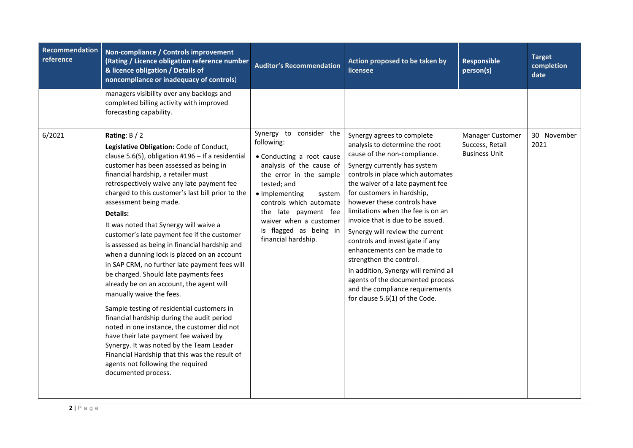| Recommendation<br>reference | Non-compliance / Controls improvement<br>(Rating / Licence obligation reference number<br>& licence obligation / Details of<br>noncompliance or inadequacy of controls)                                                                                                                                                                                                                                                                                                                                                                                                                                                                                                                                                                                                                                                                                                                                                                                                                                                                                | <b>Auditor's Recommendation</b>                                                                                                                                                                                                                                                                    | Action proposed to be taken by<br>licensee                                                                                                                                                                                                                                                                                                                                                                                                                                                                                                                                                                                    | <b>Responsible</b><br>person(s)                             | <b>Target</b><br>completion<br>date |
|-----------------------------|--------------------------------------------------------------------------------------------------------------------------------------------------------------------------------------------------------------------------------------------------------------------------------------------------------------------------------------------------------------------------------------------------------------------------------------------------------------------------------------------------------------------------------------------------------------------------------------------------------------------------------------------------------------------------------------------------------------------------------------------------------------------------------------------------------------------------------------------------------------------------------------------------------------------------------------------------------------------------------------------------------------------------------------------------------|----------------------------------------------------------------------------------------------------------------------------------------------------------------------------------------------------------------------------------------------------------------------------------------------------|-------------------------------------------------------------------------------------------------------------------------------------------------------------------------------------------------------------------------------------------------------------------------------------------------------------------------------------------------------------------------------------------------------------------------------------------------------------------------------------------------------------------------------------------------------------------------------------------------------------------------------|-------------------------------------------------------------|-------------------------------------|
|                             | managers visibility over any backlogs and<br>completed billing activity with improved<br>forecasting capability.                                                                                                                                                                                                                                                                                                                                                                                                                                                                                                                                                                                                                                                                                                                                                                                                                                                                                                                                       |                                                                                                                                                                                                                                                                                                    |                                                                                                                                                                                                                                                                                                                                                                                                                                                                                                                                                                                                                               |                                                             |                                     |
| 6/2021                      | Rating: $B / 2$<br>Legislative Obligation: Code of Conduct,<br>clause 5.6(5), obligation $#196 -$ If a residential<br>customer has been assessed as being in<br>financial hardship, a retailer must<br>retrospectively waive any late payment fee<br>charged to this customer's last bill prior to the<br>assessment being made.<br>Details:<br>It was noted that Synergy will waive a<br>customer's late payment fee if the customer<br>is assessed as being in financial hardship and<br>when a dunning lock is placed on an account<br>in SAP CRM, no further late payment fees will<br>be charged. Should late payments fees<br>already be on an account, the agent will<br>manually waive the fees.<br>Sample testing of residential customers in<br>financial hardship during the audit period<br>noted in one instance, the customer did not<br>have their late payment fee waived by<br>Synergy. It was noted by the Team Leader<br>Financial Hardship that this was the result of<br>agents not following the required<br>documented process. | Synergy to consider the<br>following:<br>• Conducting a root cause<br>analysis of the cause of<br>the error in the sample<br>tested; and<br>• Implementing<br>system<br>controls which automate<br>the late payment fee<br>waiver when a customer<br>is flagged as being in<br>financial hardship. | Synergy agrees to complete<br>analysis to determine the root<br>cause of the non-compliance.<br>Synergy currently has system<br>controls in place which automates<br>the waiver of a late payment fee<br>for customers in hardship,<br>however these controls have<br>limitations when the fee is on an<br>invoice that is due to be issued.<br>Synergy will review the current<br>controls and investigate if any<br>enhancements can be made to<br>strengthen the control.<br>In addition, Synergy will remind all<br>agents of the documented process<br>and the compliance requirements<br>for clause 5.6(1) of the Code. | Manager Customer<br>Success, Retail<br><b>Business Unit</b> | 30 November<br>2021                 |